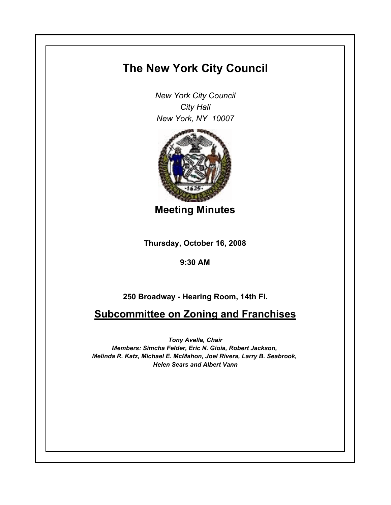## **The New York City Council**

*New York City Council City Hall New York, NY 10007*



**Meeting Minutes**

**Thursday, October 16, 2008**

**9:30 AM**

**250 Broadway - Hearing Room, 14th Fl.**

**Subcommittee on Zoning and Franchises**

*Tony Avella, Chair Members: Simcha Felder, Eric N. Gioia, Robert Jackson, Melinda R. Katz, Michael E. McMahon, Joel Rivera, Larry B. Seabrook, Helen Sears and Albert Vann*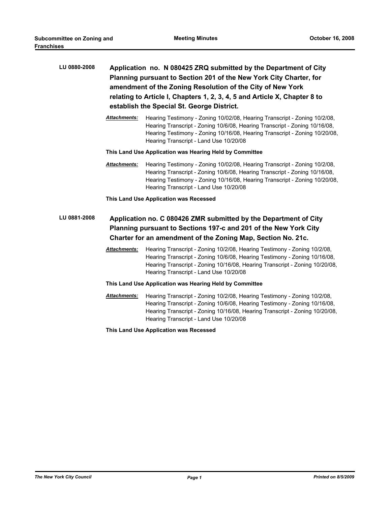| LU 0880-2008 | Application no. N 080425 ZRQ submitted by the Department of City<br>Planning pursuant to Section 201 of the New York City Charter, for<br>amendment of the Zoning Resolution of the City of New York<br>relating to Article I, Chapters 1, 2, 3, 4, 5 and Article X, Chapter 8 to<br>establish the Special St. George District. |                                                                                                                                                                                                                                                                                 |  |  |
|--------------|---------------------------------------------------------------------------------------------------------------------------------------------------------------------------------------------------------------------------------------------------------------------------------------------------------------------------------|---------------------------------------------------------------------------------------------------------------------------------------------------------------------------------------------------------------------------------------------------------------------------------|--|--|
|              | <b>Attachments:</b>                                                                                                                                                                                                                                                                                                             | Hearing Testimony - Zoning 10/02/08, Hearing Transcript - Zoning 10/2/08,<br>Hearing Transcript - Zoning 10/6/08, Hearing Transcript - Zoning 10/16/08,<br>Hearing Testimony - Zoning 10/16/08, Hearing Transcript - Zoning 10/20/08,<br>Hearing Transcript - Land Use 10/20/08 |  |  |
|              | This Land Use Application was Hearing Held by Committee                                                                                                                                                                                                                                                                         |                                                                                                                                                                                                                                                                                 |  |  |
|              | Attachments:                                                                                                                                                                                                                                                                                                                    | Hearing Testimony - Zoning 10/02/08, Hearing Transcript - Zoning 10/2/08,<br>Hearing Transcript - Zoning 10/6/08, Hearing Transcript - Zoning 10/16/08,<br>Hearing Testimony - Zoning 10/16/08, Hearing Transcript - Zoning 10/20/08,<br>Hearing Transcript - Land Use 10/20/08 |  |  |
|              |                                                                                                                                                                                                                                                                                                                                 | This Land Use Application was Recessed                                                                                                                                                                                                                                          |  |  |
| LU 0881-2008 | Application no. C 080426 ZMR submitted by the Department of City<br>Planning pursuant to Sections 197-c and 201 of the New York City<br>Charter for an amendment of the Zoning Map, Section No. 21c.                                                                                                                            |                                                                                                                                                                                                                                                                                 |  |  |
|              | <b>Attachments:</b>                                                                                                                                                                                                                                                                                                             | Hearing Transcript - Zoning 10/2/08, Hearing Testimony - Zoning 10/2/08,<br>Hearing Transcript - Zoning 10/6/08, Hearing Testimony - Zoning 10/16/08,<br>Hearing Transcript - Zoning 10/16/08, Hearing Transcript - Zoning 10/20/08,<br>Hearing Transcript - Land Use 10/20/08  |  |  |
|              | This Land Use Application was Hearing Held by Committee                                                                                                                                                                                                                                                                         |                                                                                                                                                                                                                                                                                 |  |  |
|              | <b>Attachments:</b>                                                                                                                                                                                                                                                                                                             | Hearing Transcript - Zoning 10/2/08, Hearing Testimony - Zoning 10/2/08,<br>Hearing Transcript - Zoning 10/6/08, Hearing Testimony - Zoning 10/16/08,<br>Hearing Transcript - Zoning 10/16/08, Hearing Transcript - Zoning 10/20/08,<br>Hearing Transcript - Land Use 10/20/08  |  |  |
|              |                                                                                                                                                                                                                                                                                                                                 | This Land Use Application was Recessed                                                                                                                                                                                                                                          |  |  |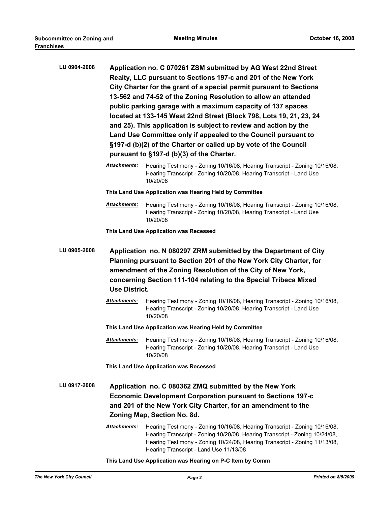| LU 0904-2008 | Application no. C 070261 ZSM submitted by AG West 22nd Street<br>Realty, LLC pursuant to Sections 197-c and 201 of the New York<br>City Charter for the grant of a special permit pursuant to Sections<br>13-562 and 74-52 of the Zoning Resolution to allow an attended<br>public parking garage with a maximum capacity of 137 spaces<br>located at 133-145 West 22nd Street (Block 798, Lots 19, 21, 23, 24<br>and 25). This application is subject to review and action by the<br>Land Use Committee only if appealed to the Council pursuant to<br>§197-d (b)(2) of the Charter or called up by vote of the Council<br>pursuant to §197-d (b)(3) of the Charter. |                                                                                                                                                                                                                                                                                   |  |
|--------------|-----------------------------------------------------------------------------------------------------------------------------------------------------------------------------------------------------------------------------------------------------------------------------------------------------------------------------------------------------------------------------------------------------------------------------------------------------------------------------------------------------------------------------------------------------------------------------------------------------------------------------------------------------------------------|-----------------------------------------------------------------------------------------------------------------------------------------------------------------------------------------------------------------------------------------------------------------------------------|--|
|              | <b>Attachments:</b>                                                                                                                                                                                                                                                                                                                                                                                                                                                                                                                                                                                                                                                   | Hearing Testimony - Zoning 10/16/08, Hearing Transcript - Zoning 10/16/08,<br>Hearing Transcript - Zoning 10/20/08, Hearing Transcript - Land Use<br>10/20/08                                                                                                                     |  |
|              | This Land Use Application was Hearing Held by Committee                                                                                                                                                                                                                                                                                                                                                                                                                                                                                                                                                                                                               |                                                                                                                                                                                                                                                                                   |  |
|              | <b>Attachments:</b>                                                                                                                                                                                                                                                                                                                                                                                                                                                                                                                                                                                                                                                   | Hearing Testimony - Zoning 10/16/08, Hearing Transcript - Zoning 10/16/08,<br>Hearing Transcript - Zoning 10/20/08, Hearing Transcript - Land Use<br>10/20/08                                                                                                                     |  |
|              |                                                                                                                                                                                                                                                                                                                                                                                                                                                                                                                                                                                                                                                                       | This Land Use Application was Recessed                                                                                                                                                                                                                                            |  |
| LU 0905-2008 | Application no. N 080297 ZRM submitted by the Department of City<br>Planning pursuant to Section 201 of the New York City Charter, for<br>amendment of the Zoning Resolution of the City of New York,<br>concerning Section 111-104 relating to the Special Tribeca Mixed<br><b>Use District.</b>                                                                                                                                                                                                                                                                                                                                                                     |                                                                                                                                                                                                                                                                                   |  |
|              | Attachments:                                                                                                                                                                                                                                                                                                                                                                                                                                                                                                                                                                                                                                                          | Hearing Testimony - Zoning 10/16/08, Hearing Transcript - Zoning 10/16/08,<br>Hearing Transcript - Zoning 10/20/08, Hearing Transcript - Land Use<br>10/20/08                                                                                                                     |  |
|              |                                                                                                                                                                                                                                                                                                                                                                                                                                                                                                                                                                                                                                                                       | This Land Use Application was Hearing Held by Committee                                                                                                                                                                                                                           |  |
|              | <b>Attachments:</b>                                                                                                                                                                                                                                                                                                                                                                                                                                                                                                                                                                                                                                                   | Hearing Testimony - Zoning 10/16/08, Hearing Transcript - Zoning 10/16/08,<br>Hearing Transcript - Zoning 10/20/08, Hearing Transcript - Land Use<br>10/20/08                                                                                                                     |  |
|              | This Land Use Application was Recessed                                                                                                                                                                                                                                                                                                                                                                                                                                                                                                                                                                                                                                |                                                                                                                                                                                                                                                                                   |  |
| LU 0917-2008 | Application no. C 080362 ZMQ submitted by the New York<br><b>Economic Development Corporation pursuant to Sections 197-c</b><br>and 201 of the New York City Charter, for an amendment to the<br>Zoning Map, Section No. 8d.                                                                                                                                                                                                                                                                                                                                                                                                                                          |                                                                                                                                                                                                                                                                                   |  |
|              | Attachments:                                                                                                                                                                                                                                                                                                                                                                                                                                                                                                                                                                                                                                                          | Hearing Testimony - Zoning 10/16/08, Hearing Transcript - Zoning 10/16/08,<br>Hearing Transcript - Zoning 10/20/08, Hearing Transcript - Zoning 10/24/08,<br>Hearing Testimony - Zoning 10/24/08, Hearing Transcript - Zoning 11/13/08,<br>Hearing Transcript - Land Use 11/13/08 |  |
|              |                                                                                                                                                                                                                                                                                                                                                                                                                                                                                                                                                                                                                                                                       | This Land Use Application was Hearing on P-C Item by Comm                                                                                                                                                                                                                         |  |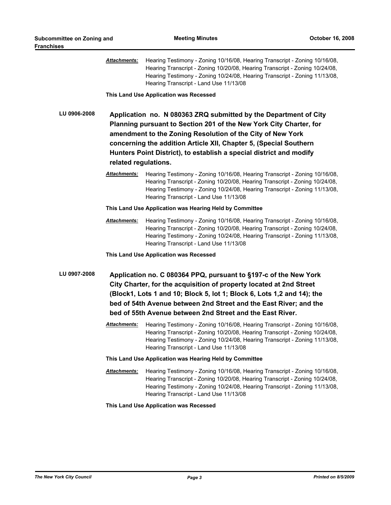|              | Attachments:                                                                                                                                                                                                                                                                                                                                        | Hearing Testimony - Zoning 10/16/08, Hearing Transcript - Zoning 10/16/08,<br>Hearing Transcript - Zoning 10/20/08, Hearing Transcript - Zoning 10/24/08,<br>Hearing Testimony - Zoning 10/24/08, Hearing Transcript - Zoning 11/13/08,<br>Hearing Transcript - Land Use 11/13/08                                                                |  |
|--------------|-----------------------------------------------------------------------------------------------------------------------------------------------------------------------------------------------------------------------------------------------------------------------------------------------------------------------------------------------------|--------------------------------------------------------------------------------------------------------------------------------------------------------------------------------------------------------------------------------------------------------------------------------------------------------------------------------------------------|--|
|              |                                                                                                                                                                                                                                                                                                                                                     | This Land Use Application was Recessed                                                                                                                                                                                                                                                                                                           |  |
| LU 0906-2008 | related regulations.                                                                                                                                                                                                                                                                                                                                | Application no. N 080363 ZRQ submitted by the Department of City<br>Planning pursuant to Section 201 of the New York City Charter, for<br>amendment to the Zoning Resolution of the City of New York<br>concerning the addition Article XII, Chapter 5, (Special Southern<br>Hunters Point District), to establish a special district and modify |  |
|              | <u> Attachments:</u>                                                                                                                                                                                                                                                                                                                                | Hearing Testimony - Zoning 10/16/08, Hearing Transcript - Zoning 10/16/08,<br>Hearing Transcript - Zoning 10/20/08, Hearing Transcript - Zoning 10/24/08,<br>Hearing Testimony - Zoning 10/24/08, Hearing Transcript - Zoning 11/13/08,<br>Hearing Transcript - Land Use 11/13/08                                                                |  |
|              | This Land Use Application was Hearing Held by Committee                                                                                                                                                                                                                                                                                             |                                                                                                                                                                                                                                                                                                                                                  |  |
|              | Attachments:                                                                                                                                                                                                                                                                                                                                        | Hearing Testimony - Zoning 10/16/08, Hearing Transcript - Zoning 10/16/08,<br>Hearing Transcript - Zoning 10/20/08, Hearing Transcript - Zoning 10/24/08,<br>Hearing Testimony - Zoning 10/24/08, Hearing Transcript - Zoning 11/13/08,<br>Hearing Transcript - Land Use 11/13/08                                                                |  |
|              |                                                                                                                                                                                                                                                                                                                                                     | This Land Use Application was Recessed                                                                                                                                                                                                                                                                                                           |  |
| LU 0907-2008 | Application no. C 080364 PPQ, pursuant to §197-c of the New York<br>City Charter, for the acquisition of property located at 2nd Street<br>(Block1, Lots 1 and 10; Block 5, lot 1; Block 6, Lots 1,2 and 14); the<br>bed of 54th Avenue between 2nd Street and the East River; and the<br>bed of 55th Avenue between 2nd Street and the East River. |                                                                                                                                                                                                                                                                                                                                                  |  |
|              | Attachments:                                                                                                                                                                                                                                                                                                                                        | Hearing Testimony - Zoning 10/16/08, Hearing Transcript - Zoning 10/16/08,<br>Hearing Transcript - Zoning 10/20/08, Hearing Transcript - Zoning 10/24/08,<br>Hearing Testimony - Zoning 10/24/08, Hearing Transcript - Zoning 11/13/08,<br>Hearing Transcript - Land Use 11/13/08                                                                |  |
|              | This Land Use Application was Hearing Held by Committee                                                                                                                                                                                                                                                                                             |                                                                                                                                                                                                                                                                                                                                                  |  |
|              | Attachments:                                                                                                                                                                                                                                                                                                                                        | Hearing Testimony - Zoning 10/16/08, Hearing Transcript - Zoning 10/16/08,<br>Hearing Transcript - Zoning 10/20/08, Hearing Transcript - Zoning 10/24/08,<br>Hearing Testimony - Zoning 10/24/08, Hearing Transcript - Zoning 11/13/08,<br>Hearing Transcript - Land Use 11/13/08                                                                |  |
|              |                                                                                                                                                                                                                                                                                                                                                     | This Land Use Application was Recessed                                                                                                                                                                                                                                                                                                           |  |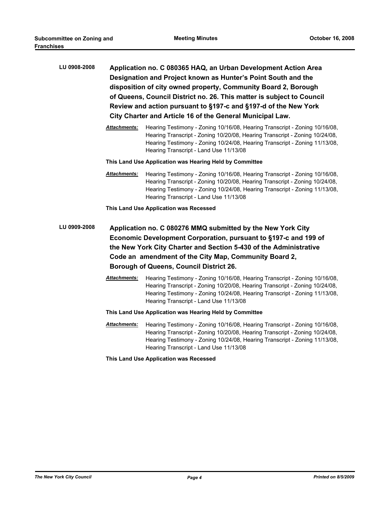| LU 0908-2008 | Application no. C 080365 HAQ, an Urban Development Action Area        |
|--------------|-----------------------------------------------------------------------|
|              | Designation and Project known as Hunter's Point South and the         |
|              | disposition of city owned property, Community Board 2, Borough        |
|              | of Queens, Council District no. 26. This matter is subject to Council |
|              | Review and action pursuant to §197-c and §197-d of the New York       |
|              | City Charter and Article 16 of the General Municipal Law.             |

*Attachments:* Hearing Testimony - Zoning 10/16/08, Hearing Transcript - Zoning 10/16/08, Hearing Transcript - Zoning 10/20/08, Hearing Transcript - Zoning 10/24/08, Hearing Testimony - Zoning 10/24/08, Hearing Transcript - Zoning 11/13/08, Hearing Transcript - Land Use 11/13/08

## **This Land Use Application was Hearing Held by Committee**

*Attachments:* Hearing Testimony - Zoning 10/16/08, Hearing Transcript - Zoning 10/16/08, Hearing Transcript - Zoning 10/20/08, Hearing Transcript - Zoning 10/24/08, Hearing Testimony - Zoning 10/24/08, Hearing Transcript - Zoning 11/13/08, Hearing Transcript - Land Use 11/13/08

**This Land Use Application was Recessed**

- **LU 0909-2008 Application no. C 080276 MMQ submitted by the New York City Economic Development Corporation, pursuant to §197-c and 199 of the New York City Charter and Section 5-430 of the Administrative Code an amendment of the City Map, Community Board 2, Borough of Queens, Council District 26.**
	- *Attachments:* Hearing Testimony Zoning 10/16/08, Hearing Transcript Zoning 10/16/08, Hearing Transcript - Zoning 10/20/08, Hearing Transcript - Zoning 10/24/08, Hearing Testimony - Zoning 10/24/08, Hearing Transcript - Zoning 11/13/08, Hearing Transcript - Land Use 11/13/08

## **This Land Use Application was Hearing Held by Committee**

*Attachments:* Hearing Testimony - Zoning 10/16/08, Hearing Transcript - Zoning 10/16/08, Hearing Transcript - Zoning 10/20/08, Hearing Transcript - Zoning 10/24/08, Hearing Testimony - Zoning 10/24/08, Hearing Transcript - Zoning 11/13/08, Hearing Transcript - Land Use 11/13/08

**This Land Use Application was Recessed**